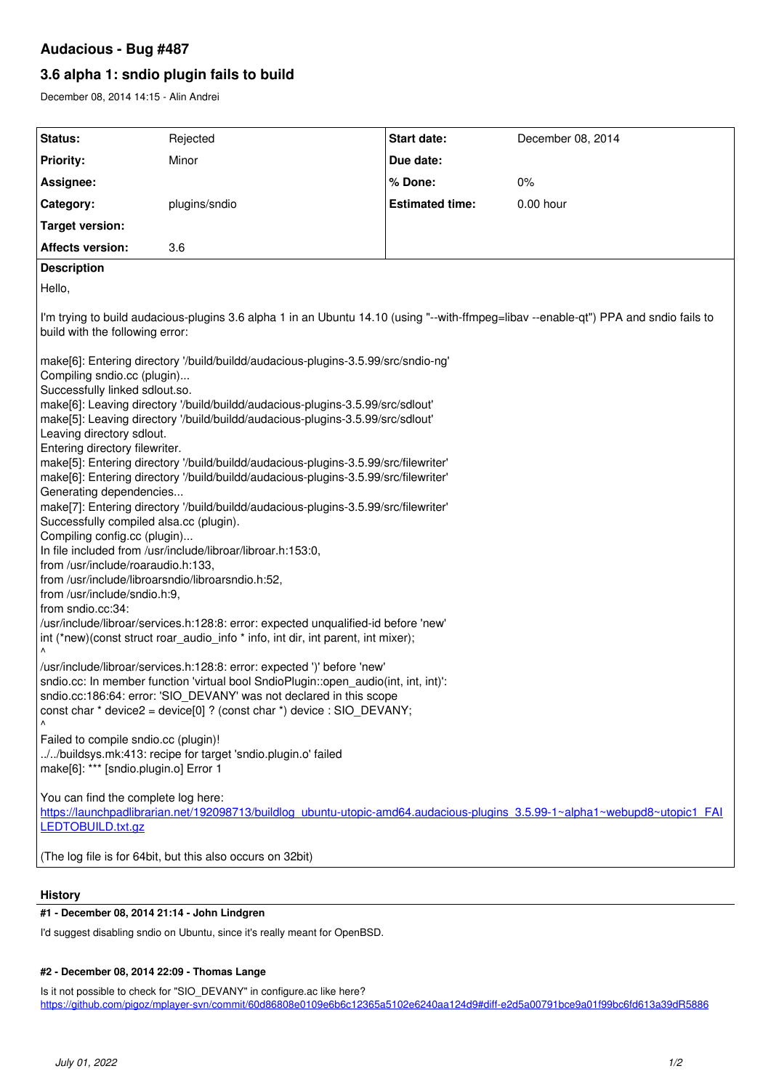## **Audacious - Bug #487**

# **3.6 alpha 1: sndio plugin fails to build**

December 08, 2014 14:15 - Alin Andrei

| Status:                                                                                                                                                                                                                                                                                                                                                                                                                                                                                                                                                                                                                                                                                                                                                                                                                                                                                                                                                                                                                                                                                                                                                                                                                                                                                                                                                                                                                                                                                                                                                                                                                                                                                               | Rejected      | Start date:            | December 08, 2014 |
|-------------------------------------------------------------------------------------------------------------------------------------------------------------------------------------------------------------------------------------------------------------------------------------------------------------------------------------------------------------------------------------------------------------------------------------------------------------------------------------------------------------------------------------------------------------------------------------------------------------------------------------------------------------------------------------------------------------------------------------------------------------------------------------------------------------------------------------------------------------------------------------------------------------------------------------------------------------------------------------------------------------------------------------------------------------------------------------------------------------------------------------------------------------------------------------------------------------------------------------------------------------------------------------------------------------------------------------------------------------------------------------------------------------------------------------------------------------------------------------------------------------------------------------------------------------------------------------------------------------------------------------------------------------------------------------------------------|---------------|------------------------|-------------------|
| <b>Priority:</b>                                                                                                                                                                                                                                                                                                                                                                                                                                                                                                                                                                                                                                                                                                                                                                                                                                                                                                                                                                                                                                                                                                                                                                                                                                                                                                                                                                                                                                                                                                                                                                                                                                                                                      | Minor         | Due date:              |                   |
| Assignee:                                                                                                                                                                                                                                                                                                                                                                                                                                                                                                                                                                                                                                                                                                                                                                                                                                                                                                                                                                                                                                                                                                                                                                                                                                                                                                                                                                                                                                                                                                                                                                                                                                                                                             |               | % Done:                | 0%                |
| Category:                                                                                                                                                                                                                                                                                                                                                                                                                                                                                                                                                                                                                                                                                                                                                                                                                                                                                                                                                                                                                                                                                                                                                                                                                                                                                                                                                                                                                                                                                                                                                                                                                                                                                             | plugins/sndio | <b>Estimated time:</b> | 0.00 hour         |
| <b>Target version:</b>                                                                                                                                                                                                                                                                                                                                                                                                                                                                                                                                                                                                                                                                                                                                                                                                                                                                                                                                                                                                                                                                                                                                                                                                                                                                                                                                                                                                                                                                                                                                                                                                                                                                                |               |                        |                   |
| <b>Affects version:</b>                                                                                                                                                                                                                                                                                                                                                                                                                                                                                                                                                                                                                                                                                                                                                                                                                                                                                                                                                                                                                                                                                                                                                                                                                                                                                                                                                                                                                                                                                                                                                                                                                                                                               | 3.6           |                        |                   |
| <b>Description</b>                                                                                                                                                                                                                                                                                                                                                                                                                                                                                                                                                                                                                                                                                                                                                                                                                                                                                                                                                                                                                                                                                                                                                                                                                                                                                                                                                                                                                                                                                                                                                                                                                                                                                    |               |                        |                   |
| Hello,                                                                                                                                                                                                                                                                                                                                                                                                                                                                                                                                                                                                                                                                                                                                                                                                                                                                                                                                                                                                                                                                                                                                                                                                                                                                                                                                                                                                                                                                                                                                                                                                                                                                                                |               |                        |                   |
| I'm trying to build audacious-plugins 3.6 alpha 1 in an Ubuntu 14.10 (using "--with-ffmpeg=libav --enable-qt") PPA and sndio fails to<br>build with the following error:<br>make[6]: Entering directory '/build/buildd/audacious-plugins-3.5.99/src/sndio-ng'<br>Compiling sndio.cc (plugin)<br>Successfully linked sdlout.so.<br>make[6]: Leaving directory '/build/buildd/audacious-plugins-3.5.99/src/sdlout'<br>make[5]: Leaving directory '/build/buildd/audacious-plugins-3.5.99/src/sdlout'<br>Leaving directory sdlout.<br>Entering directory filewriter.<br>make[5]: Entering directory '/build/buildd/audacious-plugins-3.5.99/src/filewriter'<br>make[6]: Entering directory '/build/buildd/audacious-plugins-3.5.99/src/filewriter'<br>Generating dependencies<br>make[7]: Entering directory '/build/buildd/audacious-plugins-3.5.99/src/filewriter'<br>Successfully compiled alsa.cc (plugin).<br>Compiling config.cc (plugin)<br>In file included from /usr/include/libroar/libroar.h:153:0,<br>from /usr/include/roaraudio.h:133,<br>from /usr/include/libroarsndio/libroarsndio.h:52,<br>from /usr/include/sndio.h:9,<br>from sndio.cc:34:<br>/usr/include/libroar/services.h:128:8: error: expected unqualified-id before 'new'<br>int (*new)(const struct roar_audio_info * info, int dir, int parent, int mixer);<br>Λ<br>/usr/include/libroar/services.h:128:8: error: expected ')' before 'new'<br>sndio.cc: In member function 'virtual bool SndioPlugin::open_audio(int, int, int)':<br>sndio.cc:186:64: error: 'SIO DEVANY' was not declared in this scope<br>const char * device2 = device[0] ? (const char *) device : SIO_DEVANY;<br>Failed to compile sndio.cc (plugin)! |               |                        |                   |
| //buildsys.mk:413: recipe for target 'sndio.plugin.o' failed<br>make[6]: *** [sndio.plugin.o] Error 1                                                                                                                                                                                                                                                                                                                                                                                                                                                                                                                                                                                                                                                                                                                                                                                                                                                                                                                                                                                                                                                                                                                                                                                                                                                                                                                                                                                                                                                                                                                                                                                                 |               |                        |                   |
| You can find the complete log here:<br>https://launchpadlibrarian.net/192098713/buildlog_ubuntu-utopic-amd64.audacious-plugins_3.5.99-1~alpha1~webupd8~utopic1_FAI<br>LEDTOBUILD.txt.gz                                                                                                                                                                                                                                                                                                                                                                                                                                                                                                                                                                                                                                                                                                                                                                                                                                                                                                                                                                                                                                                                                                                                                                                                                                                                                                                                                                                                                                                                                                               |               |                        |                   |
| (The log file is for 64bit, but this also occurs on 32bit)                                                                                                                                                                                                                                                                                                                                                                                                                                                                                                                                                                                                                                                                                                                                                                                                                                                                                                                                                                                                                                                                                                                                                                                                                                                                                                                                                                                                                                                                                                                                                                                                                                            |               |                        |                   |

### **History**

## **#1 - December 08, 2014 21:14 - John Lindgren**

I'd suggest disabling sndio on Ubuntu, since it's really meant for OpenBSD.

#### **#2 - December 08, 2014 22:09 - Thomas Lange**

Is it not possible to check for "SIO\_DEVANY" in configure.ac like here? <https://github.com/pigoz/mplayer-svn/commit/60d86808e0109e6b6c12365a5102e6240aa124d9#diff-e2d5a00791bce9a01f99bc6fd613a39dR5886>